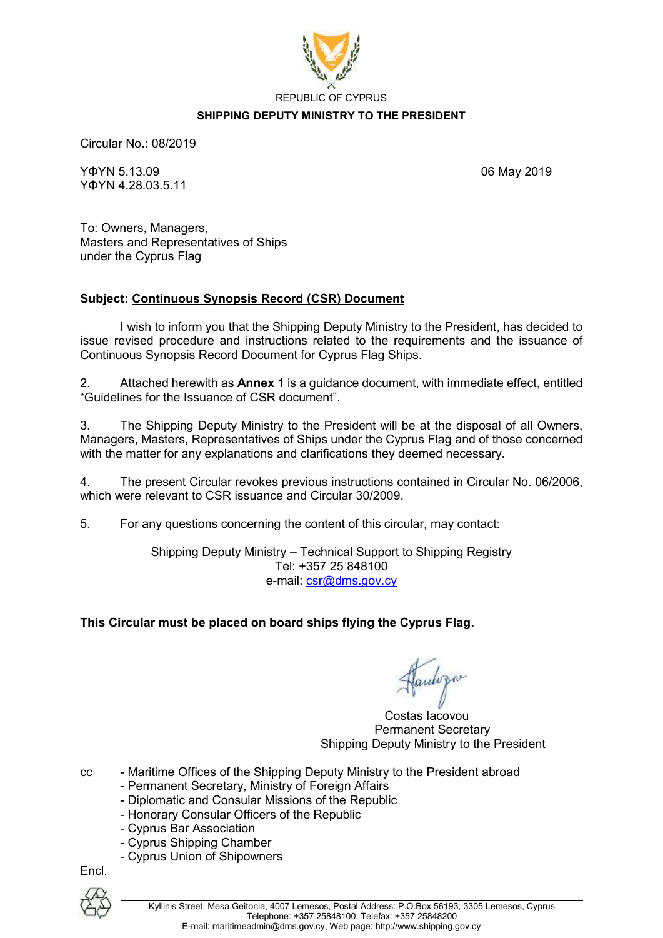

#### **SHIPPING DEPUTY MINISTRY TO THE PRESIDENT**

Circular No.: 08/2019

ΥΦΥN 5.13.09 06 May 2019 ΥΦΥΝ 4.28.03.5.11

To: Owners, Managers, Masters and Representatives of Ships under the Cyprus Flag

#### **Subject: Continuous Synopsis Record (CSR) Document**

I wish to inform you that the Shipping Deputy Ministry to the President, has decided to issue revised procedure and instructions related to the requirements and the issuance of Continuous Synopsis Record Document for Cyprus Flag Ships.

2. Attached herewith as **Annex 1** is a guidance document, with immediate effect, entitled "Guidelines for the Issuance of CSR document".

3. The Shipping Deputy Ministry to the President will be at the disposal of all Owners, Managers, Masters, Representatives of Ships under the Cyprus Flag and of those concerned with the matter for any explanations and clarifications they deemed necessary.

4. The present Circular revokes previous instructions contained in Circular No. 06/2006, which were relevant to CSR issuance and Circular 30/2009.

5. For any questions concerning the content of this circular, may contact:

Shipping Deputy Ministry – Technical Support to Shipping Registry Tel: +357 25 848100 e-mail: [csr@dms.gov.cy](mailto:csr@dms.gov.cy)

### **This Circular must be placed on board ships flying the Cyprus Flag.**

autopo

 Costas Iacovou Permanent Secretary Shipping Deputy Ministry to the President

- cc Maritime Offices of the Shipping Deputy Ministry to the President abroad
	- Permanent Secretary, Ministry of Foreign Affairs
	- Diplomatic and Consular Missions of the Republic
	- Honorary Consular Officers of the Republic
	- Cyprus Bar Association
	- Cyprus Shipping Chamber
	- Cyprus Union of Shipowners

Encl.

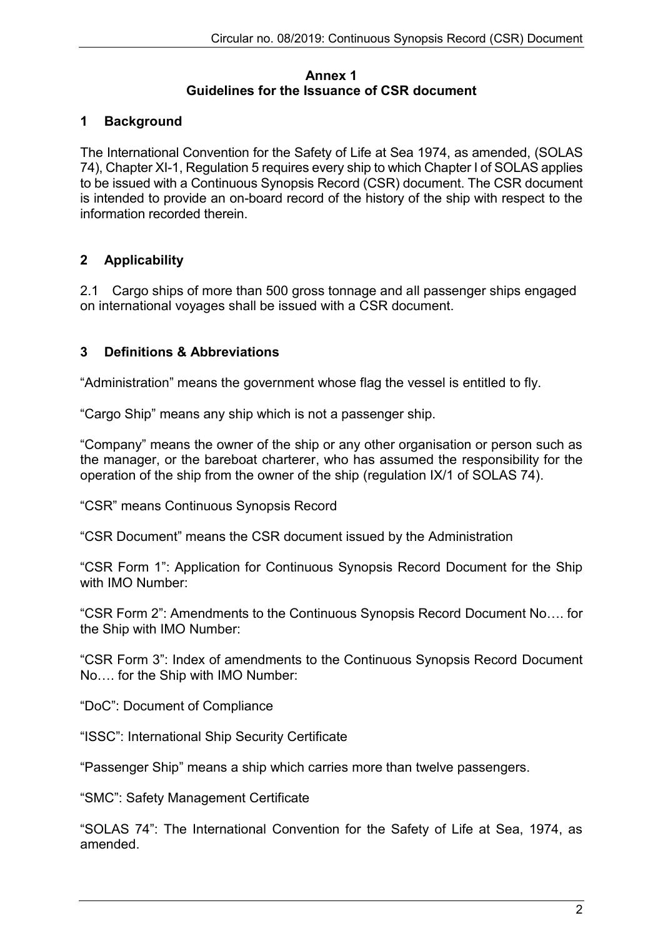#### **Annex 1 Guidelines for the Issuance of CSR document**

# **1 Background**

The International Convention for the Safety of Life at Sea 1974, as amended, (SOLAS 74), Chapter XI-1, Regulation 5 requires every ship to which Chapter I of SOLAS applies to be issued with a Continuous Synopsis Record (CSR) document. The CSR document is intended to provide an on-board record of the history of the ship with respect to the information recorded therein.

# **2 Applicability**

2.1 Cargo ships of more than 500 gross tonnage and all passenger ships engaged on international voyages shall be issued with a CSR document.

# **3 Definitions & Abbreviations**

"Administration" means the government whose flag the vessel is entitled to fly.

"Cargo Ship" means any ship which is not a passenger ship.

"Company" means the owner of the ship or any other organisation or person such as the manager, or the bareboat charterer, who has assumed the responsibility for the operation of the ship from the owner of the ship (regulation IX/1 of SOLAS 74).

"CSR" means Continuous Synopsis Record

"CSR Document" means the CSR document issued by the Administration

"CSR Form 1": Application for Continuous Synopsis Record Document for the Ship with IMO Number:

"CSR Form 2": Amendments to the Continuous Synopsis Record Document No…. for the Ship with IMO Number:

"CSR Form 3": Index of amendments to the Continuous Synopsis Record Document No…. for the Ship with IMO Number:

"DoC": Document of Compliance

"ISSC": International Ship Security Certificate

"Passenger Ship" means a ship which carries more than twelve passengers.

"SMC": Safety Management Certificate

"SOLAS 74": The International Convention for the Safety of Life at Sea, 1974, as amended.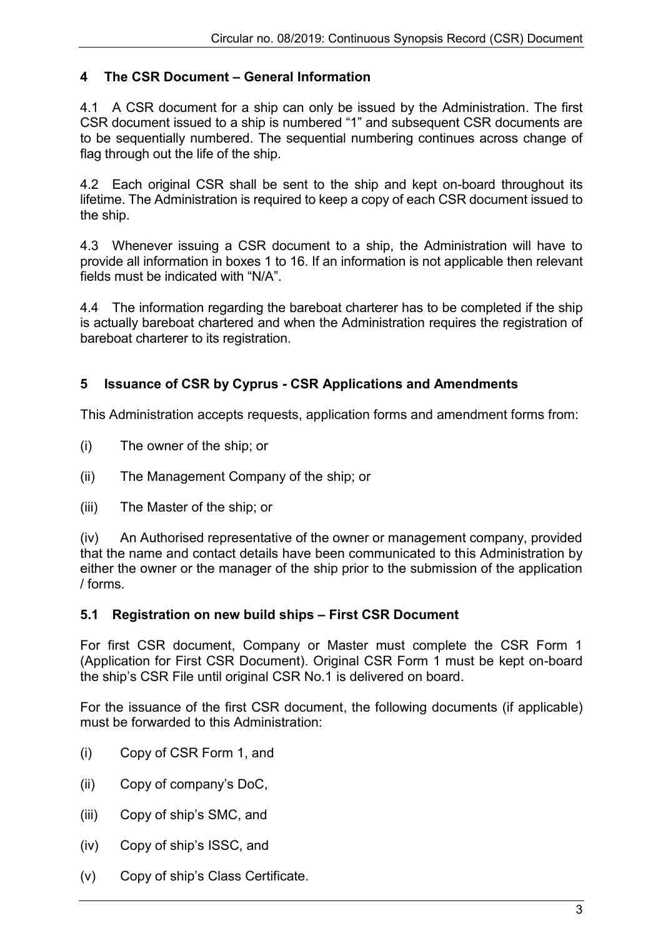# **4 The CSR Document – General Information**

4.1 A CSR document for a ship can only be issued by the Administration. The first CSR document issued to a ship is numbered "1" and subsequent CSR documents are to be sequentially numbered. The sequential numbering continues across change of flag through out the life of the ship.

4.2 Each original CSR shall be sent to the ship and kept on-board throughout its lifetime. The Administration is required to keep a copy of each CSR document issued to the ship.

4.3 Whenever issuing a CSR document to a ship, the Administration will have to provide all information in boxes 1 to 16. If an information is not applicable then relevant fields must be indicated with "N/A".

4.4 The information regarding the bareboat charterer has to be completed if the ship is actually bareboat chartered and when the Administration requires the registration of bareboat charterer to its registration.

# **5 Issuance of CSR by Cyprus - CSR Applications and Amendments**

This Administration accepts requests, application forms and amendment forms from:

- (i) The owner of the ship; or
- (ii) The Management Company of the ship; or
- (iii) The Master of the ship; or

(iv) An Authorised representative of the owner or management company, provided that the name and contact details have been communicated to this Administration by either the owner or the manager of the ship prior to the submission of the application / forms.

# **5.1 Registration on new build ships – First CSR Document**

For first CSR document, Company or Master must complete the CSR Form 1 (Application for First CSR Document). Original CSR Form 1 must be kept on-board the ship's CSR File until original CSR No.1 is delivered on board.

For the issuance of the first CSR document, the following documents (if applicable) must be forwarded to this Administration:

- (i) Copy of CSR Form 1, and
- (ii) Copy of company's DoC,
- (iii) Copy of ship's SMC, and
- (iv) Copy of ship's ISSC, and
- (v) Copy of ship's Class Certificate.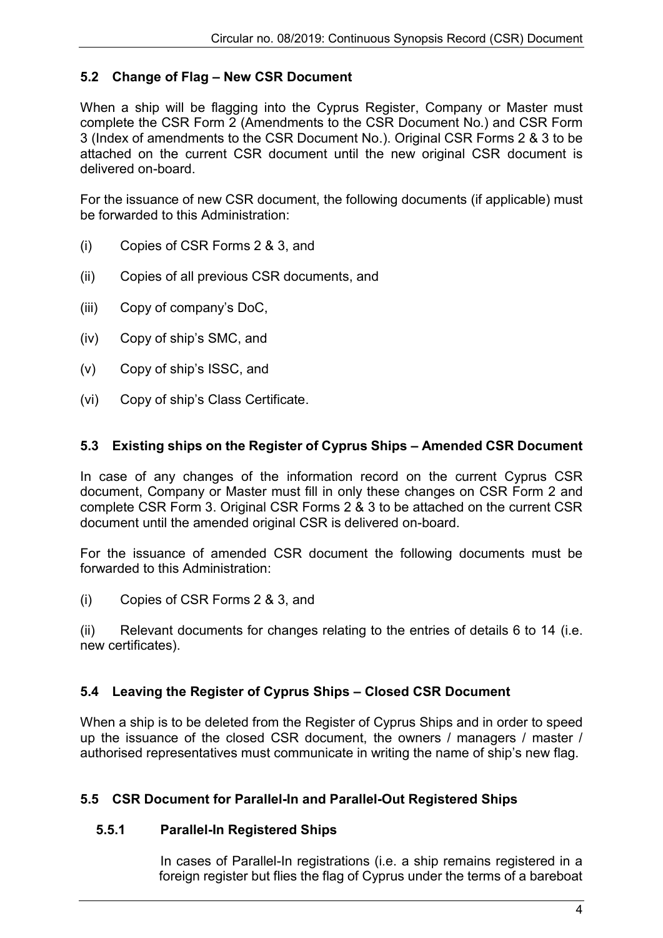# **5.2 Change of Flag – New CSR Document**

When a ship will be flagging into the Cyprus Register, Company or Master must complete the CSR Form 2 (Amendments to the CSR Document No.) and CSR Form 3 (Index of amendments to the CSR Document No.). Original CSR Forms 2 & 3 to be attached on the current CSR document until the new original CSR document is delivered on-board.

For the issuance of new CSR document, the following documents (if applicable) must be forwarded to this Administration:

- (i) Copies of CSR Forms 2 & 3, and
- (ii) Copies of all previous CSR documents, and
- (iii) Copy of company's DoC,
- (iv) Copy of ship's SMC, and
- (v) Copy of ship's ISSC, and
- (vi) Copy of ship's Class Certificate.

# **5.3 Existing ships on the Register of Cyprus Ships – Amended CSR Document**

In case of any changes of the information record on the current Cyprus CSR document, Company or Master must fill in only these changes on CSR Form 2 and complete CSR Form 3. Original CSR Forms 2 & 3 to be attached on the current CSR document until the amended original CSR is delivered on-board.

For the issuance of amended CSR document the following documents must be forwarded to this Administration:

(i) Copies of CSR Forms 2 & 3, and

(ii) Relevant documents for changes relating to the entries of details 6 to 14 (i.e. new certificates).

# **5.4 Leaving the Register of Cyprus Ships – Closed CSR Document**

When a ship is to be deleted from the Register of Cyprus Ships and in order to speed up the issuance of the closed CSR document, the owners / managers / master / authorised representatives must communicate in writing the name of ship's new flag.

# **5.5 CSR Document for Parallel-In and Parallel-Out Registered Ships**

### **5.5.1 Parallel-In Registered Ships**

In cases of Parallel-In registrations (i.e. a ship remains registered in a foreign register but flies the flag of Cyprus under the terms of a bareboat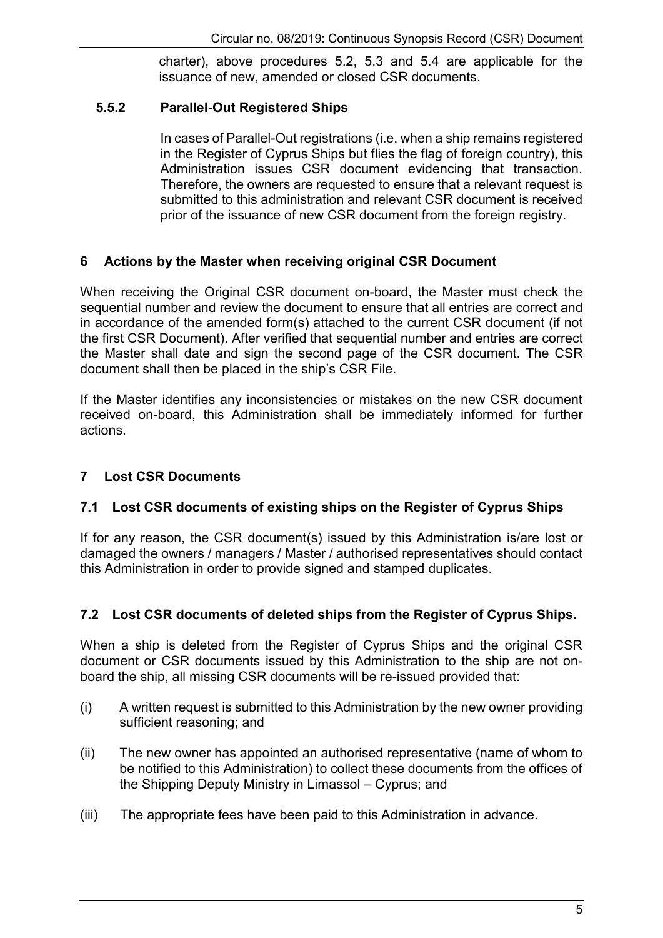charter), above procedures 5.2, 5.3 and 5.4 are applicable for the issuance of new, amended or closed CSR documents.

# **5.5.2 Parallel-Out Registered Ships**

In cases of Parallel-Out registrations (i.e. when a ship remains registered in the Register of Cyprus Ships but flies the flag of foreign country), this Administration issues CSR document evidencing that transaction. Therefore, the owners are requested to ensure that a relevant request is submitted to this administration and relevant CSR document is received prior of the issuance of new CSR document from the foreign registry.

# **6 Actions by the Master when receiving original CSR Document**

When receiving the Original CSR document on-board, the Master must check the sequential number and review the document to ensure that all entries are correct and in accordance of the amended form(s) attached to the current CSR document (if not the first CSR Document). After verified that sequential number and entries are correct the Master shall date and sign the second page of the CSR document. The CSR document shall then be placed in the ship's CSR File.

If the Master identifies any inconsistencies or mistakes on the new CSR document received on-board, this Administration shall be immediately informed for further actions.

# **7 Lost CSR Documents**

# **7.1 Lost CSR documents of existing ships on the Register of Cyprus Ships**

If for any reason, the CSR document(s) issued by this Administration is/are lost or damaged the owners / managers / Master / authorised representatives should contact this Administration in order to provide signed and stamped duplicates.

# **7.2 Lost CSR documents of deleted ships from the Register of Cyprus Ships.**

When a ship is deleted from the Register of Cyprus Ships and the original CSR document or CSR documents issued by this Administration to the ship are not onboard the ship, all missing CSR documents will be re-issued provided that:

- (i) A written request is submitted to this Administration by the new owner providing sufficient reasoning; and
- (ii) The new owner has appointed an authorised representative (name of whom to be notified to this Administration) to collect these documents from the offices of the Shipping Deputy Ministry in Limassol – Cyprus; and
- (iii) The appropriate fees have been paid to this Administration in advance.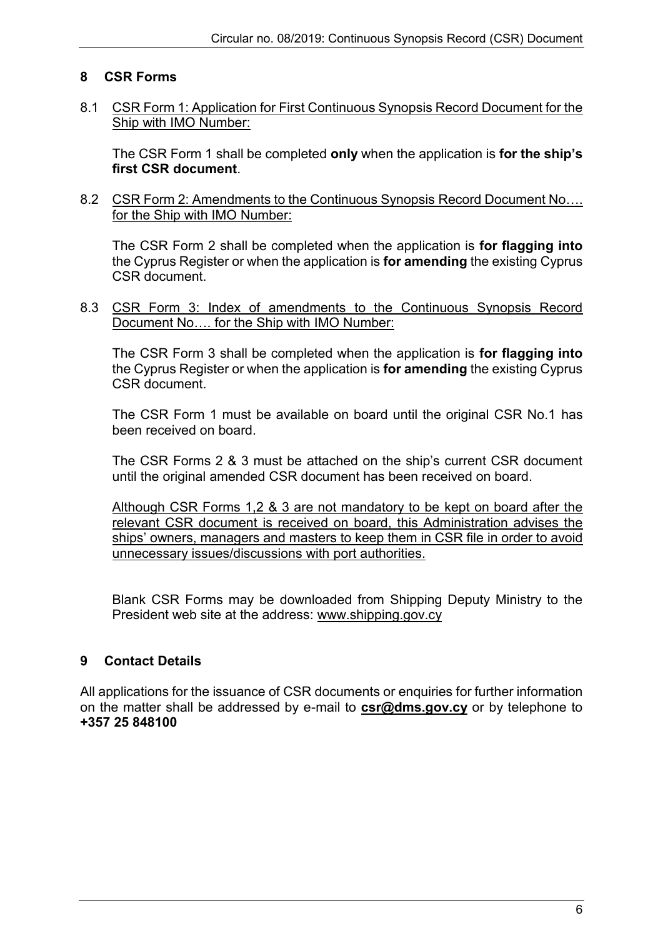# **8 CSR Forms**

### 8.1 CSR Form 1: Application for First Continuous Synopsis Record Document for the Ship with IMO Number:

The CSR Form 1 shall be completed **only** when the application is **for the ship's first CSR document**.

8.2 CSR Form 2: Amendments to the Continuous Synopsis Record Document No…. for the Ship with IMO Number:

The CSR Form 2 shall be completed when the application is **for flagging into** the Cyprus Register or when the application is **for amending** the existing Cyprus CSR document.

8.3 CSR Form 3: Index of amendments to the Continuous Synopsis Record Document No…. for the Ship with IMO Number:

The CSR Form 3 shall be completed when the application is **for flagging into** the Cyprus Register or when the application is **for amending** the existing Cyprus CSR document.

The CSR Form 1 must be available on board until the original CSR No.1 has been received on board.

The CSR Forms 2 & 3 must be attached on the ship's current CSR document until the original amended CSR document has been received on board.

Although CSR Forms 1,2 & 3 are not mandatory to be kept on board after the relevant CSR document is received on board, this Administration advises the ships' owners, managers and masters to keep them in CSR file in order to avoid unnecessary issues/discussions with port authorities.

Blank CSR Forms may be downloaded from Shipping Deputy Ministry to the President web site at the address: [www.shipping.gov.cy](http://www.shipping.gov.cy/) 

# **9 Contact Details**

All applications for the issuance of CSR documents or enquiries for further information on the matter shall be addressed by e-mail to **[csr@dms.gov.cy](mailto:csr@dms.gov.cy)** or by telephone to **+357 25 848100**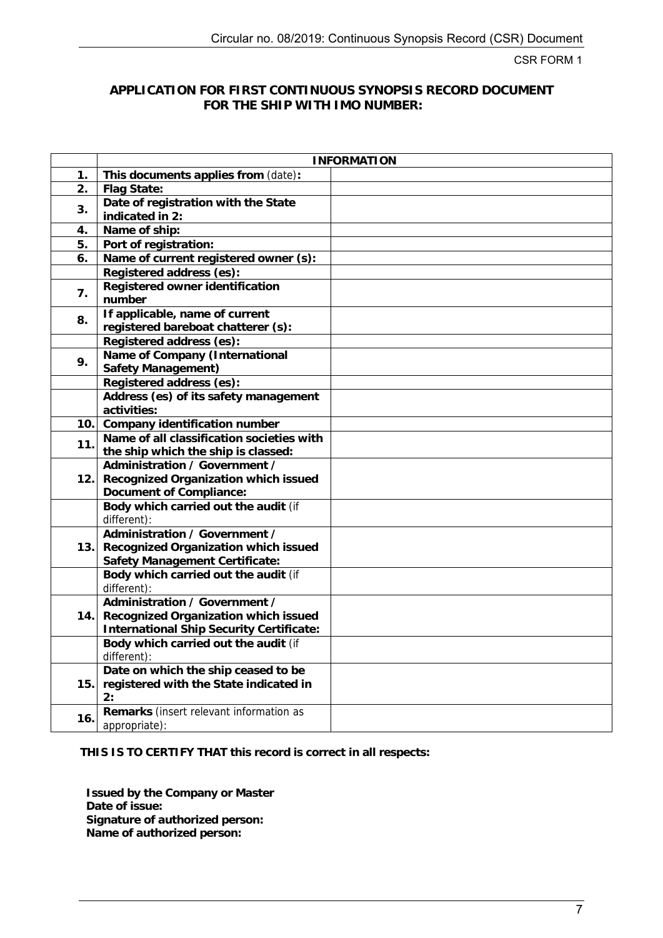CSR FORM 1

#### **APPLICATION FOR FIRST CONTINUOUS SYNOPSIS RECORD DOCUMENT FOR THE SHIP WITH IMO NUMBER:**

|                  |                                                                      | <b>INFORMATION</b> |
|------------------|----------------------------------------------------------------------|--------------------|
| 1.               | This documents applies from (date):                                  |                    |
| $\overline{2}$ . | Flag State:                                                          |                    |
| 3.               | Date of registration with the State                                  |                    |
|                  | indicated in 2:                                                      |                    |
| 4.               | Name of ship:                                                        |                    |
| 5.               | Port of registration:                                                |                    |
| 6.               | Name of current registered owner (s):                                |                    |
|                  | Registered address (es):                                             |                    |
| 7.               | Registered owner identification                                      |                    |
|                  | number                                                               |                    |
| 8.               | If applicable, name of current                                       |                    |
|                  | registered bareboat chatterer (s):                                   |                    |
|                  | Registered address (es):                                             |                    |
| 9.               | Name of Company (International                                       |                    |
|                  | Safety Management)                                                   |                    |
|                  | Registered address (es):                                             |                    |
|                  | Address (es) of its safety management                                |                    |
|                  | activities:                                                          |                    |
| 10.              | Company identification number                                        |                    |
| 11.              | Name of all classification societies with                            |                    |
|                  | the ship which the ship is classed:<br>Administration / Government / |                    |
|                  |                                                                      |                    |
| 12.              | Recognized Organization which issued<br>Document of Compliance:      |                    |
|                  | Body which carried out the audit (if                                 |                    |
|                  | different):                                                          |                    |
|                  | Administration / Government /                                        |                    |
| 13.              | Recognized Organization which issued                                 |                    |
|                  | Safety Management Certificate:                                       |                    |
|                  | Body which carried out the audit (if                                 |                    |
|                  | different):                                                          |                    |
|                  | Administration / Government /                                        |                    |
| 14.1             | Recognized Organization which issued                                 |                    |
|                  | International Ship Security Certificate:                             |                    |
|                  | Body which carried out the audit (if                                 |                    |
|                  | different):                                                          |                    |
|                  | Date on which the ship ceased to be                                  |                    |
| 15.              | registered with the State indicated in                               |                    |
|                  | 2:                                                                   |                    |
| 16.              | Remarks (insert relevant information as                              |                    |
|                  | appropriate):                                                        |                    |

**THIS IS TO CERTIFY THAT this record is correct in all respects:** 

**Issued by the Company or Master Date of issue: Signature of authorized person: Name of authorized person:**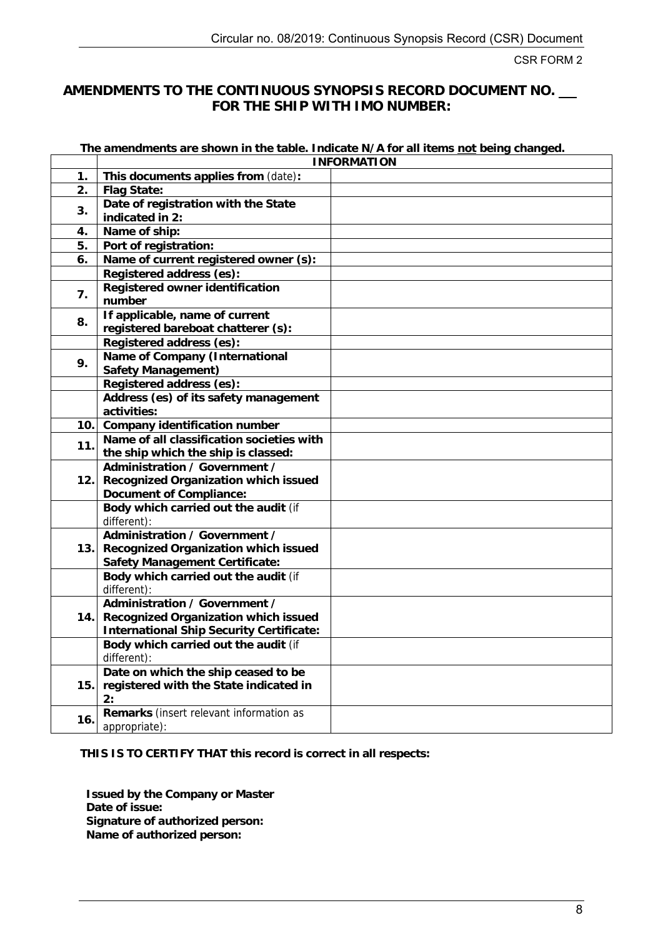CSR FORM 2

# **AMENDMENTS TO THE CONTINUOUS SYNOPSIS RECORD DOCUMENT NO. FOR THE SHIP WITH IMO NUMBER:**

**The amendments are shown in the table. Indicate N/A for all items not being changed.** 

|                  | <b>INFORMATION</b>                                                     |  |  |
|------------------|------------------------------------------------------------------------|--|--|
| 1.               | This documents applies from (date):                                    |  |  |
| $\overline{2}$ . | Flag State:                                                            |  |  |
| 3.               | Date of registration with the State                                    |  |  |
|                  | indicated in 2:                                                        |  |  |
| 4.               | Name of ship:                                                          |  |  |
| 5.               | Port of registration:                                                  |  |  |
| 6.               | Name of current registered owner (s):                                  |  |  |
|                  | Registered address (es):                                               |  |  |
| 7.               | Registered owner identification                                        |  |  |
|                  | number                                                                 |  |  |
| 8.               | If applicable, name of current                                         |  |  |
|                  | registered bareboat chatterer (s):                                     |  |  |
|                  | Registered address (es):                                               |  |  |
| 9.               | Name of Company (International                                         |  |  |
|                  | Safety Management)                                                     |  |  |
|                  | Registered address (es):                                               |  |  |
|                  | Address (es) of its safety management                                  |  |  |
|                  | activities:                                                            |  |  |
| 10.              | Company identification number                                          |  |  |
| 11.              | Name of all classification societies with                              |  |  |
|                  | the ship which the ship is classed:                                    |  |  |
|                  | Administration / Government /                                          |  |  |
| 12.              | Recognized Organization which issued                                   |  |  |
|                  | Document of Compliance:                                                |  |  |
|                  | Body which carried out the audit (if                                   |  |  |
|                  | different):                                                            |  |  |
|                  | Administration / Government /                                          |  |  |
| 13.              | Recognized Organization which issued                                   |  |  |
|                  | Safety Management Certificate:<br>Body which carried out the audit (if |  |  |
|                  | different):                                                            |  |  |
|                  | Administration / Government /                                          |  |  |
| 14.              | Recognized Organization which issued                                   |  |  |
|                  | International Ship Security Certificate:                               |  |  |
|                  | Body which carried out the audit (if                                   |  |  |
|                  | different):                                                            |  |  |
|                  | Date on which the ship ceased to be                                    |  |  |
| 15.              | registered with the State indicated in                                 |  |  |
|                  | 2:                                                                     |  |  |
|                  | Remarks (insert relevant information as                                |  |  |
| 16.              | appropriate):                                                          |  |  |

**THIS IS TO CERTIFY THAT this record is correct in all respects:** 

**Issued by the Company or Master Date of issue: Signature of authorized person: Name of authorized person:**